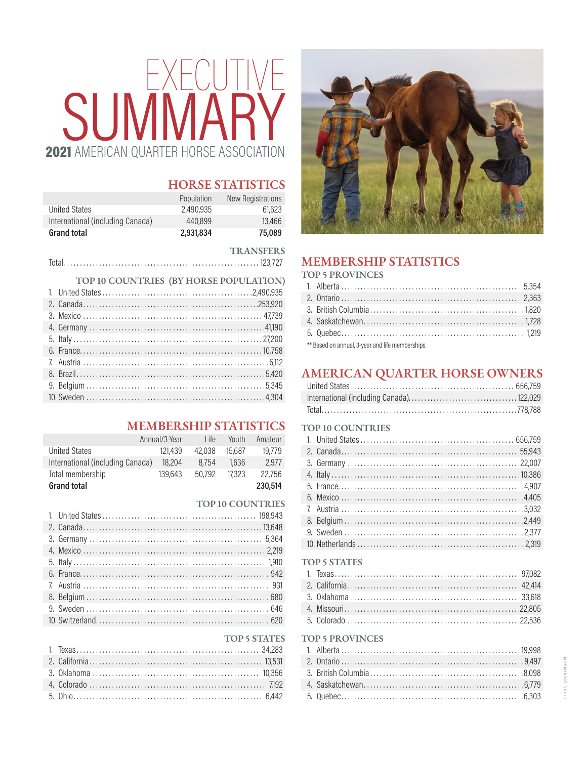# SUMMARY 2021 AMERICAN QUARTER HORSE ASSOCIATION

# **HORSE STATISTICS**

|                                        | Population | <b>New Registrations</b> |
|----------------------------------------|------------|--------------------------|
| <b>United States</b>                   | 2.490.935  | 61,623                   |
| International (including Canada)       | 440,899    | 13,466                   |
| <b>Grand total</b>                     | 2,931,834  | 75,089                   |
|                                        |            | <b>TRANSFERS</b>         |
|                                        |            |                          |
|                                        |            |                          |
| TOP 10 COUNTRIES (BY HORSE POPULATION) |            |                          |
|                                        |            |                          |
|                                        |            |                          |
|                                        |            |                          |
|                                        |            |                          |
|                                        |            |                          |
|                                        |            |                          |
|                                        |            |                          |
|                                        |            |                          |
|                                        |            |                          |
|                                        |            |                          |
|                                        |            |                          |

# **MEMBERSHIP STATISTICS**

|                                  | Annual/3-Year | l ife  | Youth  | Amateur |
|----------------------------------|---------------|--------|--------|---------|
| <b>United States</b>             | 121.439       | 42.038 | 15.687 | 19,779  |
| International (including Canada) | 18,204        | 8.754  | 1.636  | 2.977   |
| Total membership                 | 139.643       | 50.792 | 17.323 | 22,756  |
| <b>Grand total</b>               |               |        |        | 230,514 |

### **TOP 10 COUNTRIES**



# **MEMBERSHIP STATISTICS**

**TOP 5 PROVINCES** 

| ** Based on annual, 3-year and life memberships |  |
|-------------------------------------------------|--|

# **AMERICAN QUARTER HORSE OWNERS**

#### TOP 10 COUNTRIES

#### **TOP 5 STATES**

#### TOP 5 STATES TOP 5 PROVINCES